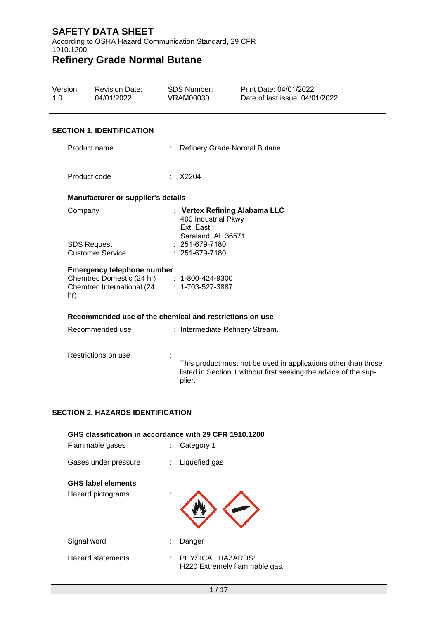According to OSHA Hazard Communication Standard, 29 CFR 1910.1200

# **Refinery Grade Normal Butane**

| Version<br>1.0 | <b>Revision Date:</b><br>04/01/2022                                                                           | <b>SDS Number:</b><br><b>VRAM00030</b> |                                                        | Print Date: 04/01/2022<br>Date of last issue: 04/01/2022                                                                           |
|----------------|---------------------------------------------------------------------------------------------------------------|----------------------------------------|--------------------------------------------------------|------------------------------------------------------------------------------------------------------------------------------------|
|                | <b>SECTION 1. IDENTIFICATION</b>                                                                              |                                        |                                                        |                                                                                                                                    |
|                | Product name                                                                                                  |                                        |                                                        | Refinery Grade Normal Butane                                                                                                       |
|                | Product code                                                                                                  | X2204                                  |                                                        |                                                                                                                                    |
|                | Manufacturer or supplier's details                                                                            |                                        |                                                        |                                                                                                                                    |
|                | Company                                                                                                       |                                        | 400 Industrial Pkwy<br>Ext. East<br>Saraland, AL 36571 | : Vertex Refining Alabama LLC                                                                                                      |
|                | <b>SDS Request</b><br><b>Customer Service</b>                                                                 |                                        | 251-679-7180<br>: 251-679-7180                         |                                                                                                                                    |
| hr)            | <b>Emergency telephone number</b><br>Chemtrec Domestic (24 hr) : 1-800-424-9300<br>Chemtrec International (24 |                                        | $: 1 - 703 - 527 - 3887$                               |                                                                                                                                    |
|                | Recommended use of the chemical and restrictions on use                                                       |                                        |                                                        |                                                                                                                                    |
|                | Recommended use                                                                                               |                                        |                                                        | : Intermediate Refinery Stream.                                                                                                    |
|                | Restrictions on use                                                                                           | plier.                                 |                                                        | This product must not be used in applications other than those<br>listed in Section 1 without first seeking the advice of the sup- |
|                |                                                                                                               |                                        |                                                        |                                                                                                                                    |

#### **SECTION 2. HAZARDS IDENTIFICATION**

| GHS classification in accordance with 29 CFR 1910.1200<br>Flammable gases<br>Category 1<br>t. |    |                                                    |  |  |
|-----------------------------------------------------------------------------------------------|----|----------------------------------------------------|--|--|
| Gases under pressure                                                                          | t. | Liquefied gas                                      |  |  |
| <b>GHS label elements</b>                                                                     |    |                                                    |  |  |
| Hazard pictograms                                                                             |    |                                                    |  |  |
| Signal word                                                                                   | t  | Danger                                             |  |  |
| <b>Hazard statements</b>                                                                      | ÷. | PHYSICAL HAZARDS:<br>H220 Extremely flammable gas. |  |  |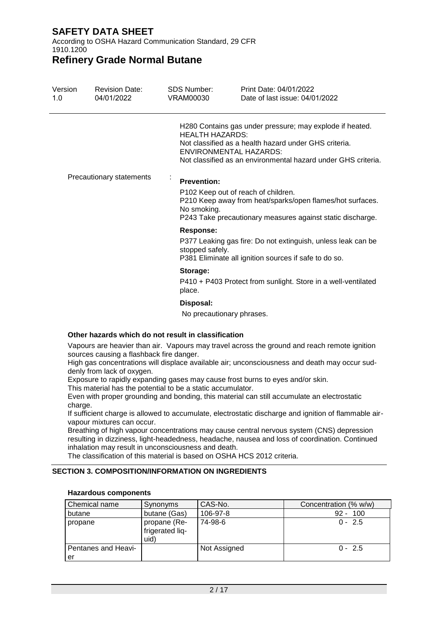According to OSHA Hazard Communication Standard, 29 CFR 1910.1200

### **Refinery Grade Normal Butane**

| Version<br>1.0 | <b>Revision Date:</b><br>04/01/2022 | SDS Number:<br>VRAM00030                  | Print Date: 04/01/2022<br>Date of last issue: 04/01/2022                                                                                                                                                     |
|----------------|-------------------------------------|-------------------------------------------|--------------------------------------------------------------------------------------------------------------------------------------------------------------------------------------------------------------|
|                |                                     | <b>HEALTH HAZARDS:</b>                    | H280 Contains gas under pressure; may explode if heated.<br>Not classified as a health hazard under GHS criteria.<br>ENVIRONMENTAL HAZARDS:<br>Not classified as an environmental hazard under GHS criteria. |
|                | Precautionary statements            | <b>Prevention:</b><br>No smoking.         | P102 Keep out of reach of children.<br>P210 Keep away from heat/sparks/open flames/hot surfaces.<br>P243 Take precautionary measures against static discharge.                                               |
|                |                                     | <b>Response:</b><br>stopped safely.       | P377 Leaking gas fire: Do not extinguish, unless leak can be<br>P381 Eliminate all ignition sources if safe to do so.                                                                                        |
|                |                                     | Storage:<br>place.                        | P410 + P403 Protect from sunlight. Store in a well-ventilated                                                                                                                                                |
|                |                                     | Disposal:<br>Na nunna: 11 nunnu 1 nhunnan |                                                                                                                                                                                                              |

No precautionary phrases.

#### **Other hazards which do not result in classification**

Vapours are heavier than air. Vapours may travel across the ground and reach remote ignition sources causing a flashback fire danger.

High gas concentrations will displace available air; unconsciousness and death may occur suddenly from lack of oxygen.

Exposure to rapidly expanding gases may cause frost burns to eyes and/or skin.

This material has the potential to be a static accumulator.

Even with proper grounding and bonding, this material can still accumulate an electrostatic charge.

If sufficient charge is allowed to accumulate, electrostatic discharge and ignition of flammable airvapour mixtures can occur.

Breathing of high vapour concentrations may cause central nervous system (CNS) depression resulting in dizziness, light-headedness, headache, nausea and loss of coordination. Continued inhalation may result in unconsciousness and death.

The classification of this material is based on OSHA HCS 2012 criteria.

#### **SECTION 3. COMPOSITION/INFORMATION ON INGREDIENTS**

| Chemical name             | Synonyms                                | CAS-No.      | Concentration (% w/w) |
|---------------------------|-----------------------------------------|--------------|-----------------------|
| butane                    | butane (Gas)                            | 106-97-8     | 100<br>$92 -$         |
| propane                   | propane (Re-<br>frigerated lig-<br>uid) | 74-98-6      | $0 - 2.5$             |
| Pentanes and Heavi-<br>er |                                         | Not Assigned | $0 - 2.5$             |

#### **Hazardous components**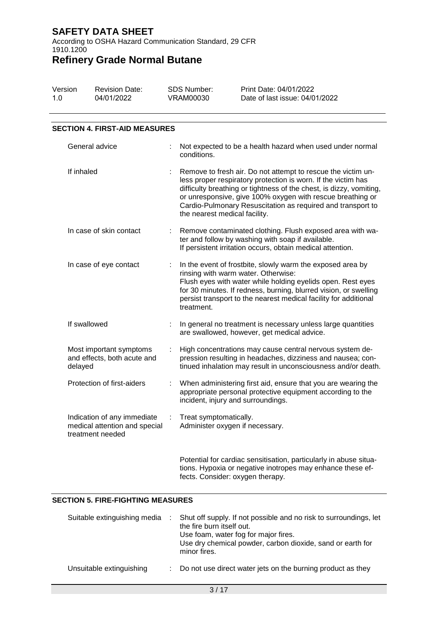According to OSHA Hazard Communication Standard, 29 CFR 1910.1200

# **Refinery Grade Normal Butane**

| Version | <b>Revision Date:</b> | SDS Number: | Print Date: 04/01/2022         |
|---------|-----------------------|-------------|--------------------------------|
| 1.0     | 04/01/2022            | VRAM00030   | Date of last issue: 04/01/2022 |

#### **SECTION 4. FIRST-AID MEASURES**

| General advice                                                                   |    | Not expected to be a health hazard when used under normal<br>conditions.                                                                                                                                                                                                                                                                                           |
|----------------------------------------------------------------------------------|----|--------------------------------------------------------------------------------------------------------------------------------------------------------------------------------------------------------------------------------------------------------------------------------------------------------------------------------------------------------------------|
| If inhaled                                                                       |    | Remove to fresh air. Do not attempt to rescue the victim un-<br>less proper respiratory protection is worn. If the victim has<br>difficulty breathing or tightness of the chest, is dizzy, vomiting,<br>or unresponsive, give 100% oxygen with rescue breathing or<br>Cardio-Pulmonary Resuscitation as required and transport to<br>the nearest medical facility. |
| In case of skin contact                                                          | t. | Remove contaminated clothing. Flush exposed area with wa-<br>ter and follow by washing with soap if available.<br>If persistent irritation occurs, obtain medical attention.                                                                                                                                                                                       |
| In case of eye contact                                                           | t  | In the event of frostbite, slowly warm the exposed area by<br>rinsing with warm water. Otherwise:<br>Flush eyes with water while holding eyelids open. Rest eyes<br>for 30 minutes. If redness, burning, blurred vision, or swelling<br>persist transport to the nearest medical facility for additional<br>treatment.                                             |
| If swallowed                                                                     |    | In general no treatment is necessary unless large quantities<br>are swallowed, however, get medical advice.                                                                                                                                                                                                                                                        |
| Most important symptoms<br>and effects, both acute and<br>delayed                |    | High concentrations may cause central nervous system de-<br>pression resulting in headaches, dizziness and nausea; con-<br>tinued inhalation may result in unconsciousness and/or death.                                                                                                                                                                           |
| Protection of first-aiders                                                       | t. | When administering first aid, ensure that you are wearing the<br>appropriate personal protective equipment according to the<br>incident, injury and surroundings.                                                                                                                                                                                                  |
| Indication of any immediate<br>medical attention and special<br>treatment needed |    | Treat symptomatically.<br>Administer oxygen if necessary.                                                                                                                                                                                                                                                                                                          |
|                                                                                  |    | Potential for cardiac sensitisation, particularly in abuse situa-<br>tions. Hypoxia or negative inotropes may enhance these ef-<br>fects. Consider: oxygen therapy.                                                                                                                                                                                                |

#### **SECTION 5. FIRE-FIGHTING MEASURES**

| Suitable extinguishing media | Shut off supply. If not possible and no risk to surroundings, let<br>the fire burn itself out.<br>Use foam, water fog for major fires.<br>Use dry chemical powder, carbon dioxide, sand or earth for<br>minor fires. |
|------------------------------|----------------------------------------------------------------------------------------------------------------------------------------------------------------------------------------------------------------------|
| Unsuitable extinguishing     | Do not use direct water jets on the burning product as they                                                                                                                                                          |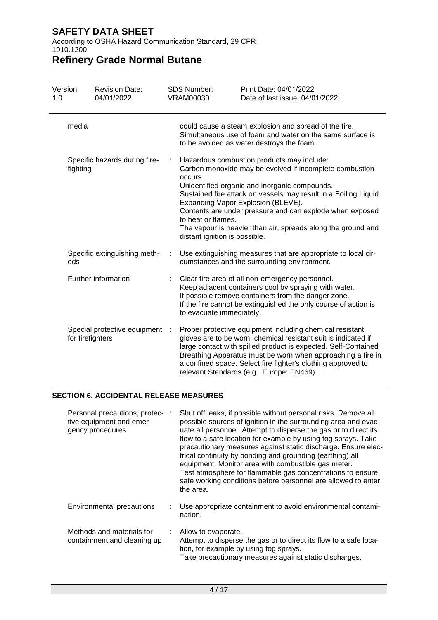According to OSHA Hazard Communication Standard, 29 CFR 1910.1200

# **Refinery Grade Normal Butane**

| Version<br>1.0 | <b>Revision Date:</b><br>04/01/2022              |   | <b>SDS Number:</b><br>VRAM00030                                | Print Date: 04/01/2022<br>Date of last issue: 04/01/2022                                                                                                                                                                                                                                                                                                                                    |
|----------------|--------------------------------------------------|---|----------------------------------------------------------------|---------------------------------------------------------------------------------------------------------------------------------------------------------------------------------------------------------------------------------------------------------------------------------------------------------------------------------------------------------------------------------------------|
| media          |                                                  |   |                                                                | could cause a steam explosion and spread of the fire.<br>Simultaneous use of foam and water on the same surface is<br>to be avoided as water destroys the foam.                                                                                                                                                                                                                             |
| fighting       | Specific hazards during fire-                    | ÷ | occurs.<br>to heat or flames.<br>distant ignition is possible. | Hazardous combustion products may include:<br>Carbon monoxide may be evolved if incomplete combustion<br>Unidentified organic and inorganic compounds.<br>Sustained fire attack on vessels may result in a Boiling Liquid<br>Expanding Vapor Explosion (BLEVE).<br>Contents are under pressure and can explode when exposed<br>The vapour is heavier than air, spreads along the ground and |
| ods            | Specific extinguishing meth-                     |   |                                                                | Use extinguishing measures that are appropriate to local cir-<br>cumstances and the surrounding environment.                                                                                                                                                                                                                                                                                |
|                | Further information                              |   | to evacuate immediately.                                       | Clear fire area of all non-emergency personnel.<br>Keep adjacent containers cool by spraying with water.<br>If possible remove containers from the danger zone.<br>If the fire cannot be extinguished the only course of action is                                                                                                                                                          |
|                | Special protective equipment<br>for firefighters | ÷ |                                                                | Proper protective equipment including chemical resistant<br>gloves are to be worn; chemical resistant suit is indicated if<br>large contact with spilled product is expected. Self-Contained<br>Breathing Apparatus must be worn when approaching a fire in<br>a confined space. Select fire fighter's clothing approved to<br>relevant Standards (e.g. Europe: EN469).                     |

#### **SECTION 6. ACCIDENTAL RELEASE MEASURES**

| Personal precautions, protec-<br>tive equipment and emer-<br>gency procedures | Shut off leaks, if possible without personal risks. Remove all<br>possible sources of ignition in the surrounding area and evac-<br>uate all personnel. Attempt to disperse the gas or to direct its<br>flow to a safe location for example by using fog sprays. Take<br>precautionary measures against static discharge. Ensure elec-<br>trical continuity by bonding and grounding (earthing) all<br>equipment. Monitor area with combustible gas meter.<br>Test atmosphere for flammable gas concentrations to ensure<br>safe working conditions before personnel are allowed to enter<br>the area. |
|-------------------------------------------------------------------------------|--------------------------------------------------------------------------------------------------------------------------------------------------------------------------------------------------------------------------------------------------------------------------------------------------------------------------------------------------------------------------------------------------------------------------------------------------------------------------------------------------------------------------------------------------------------------------------------------------------|
| <b>Environmental precautions</b>                                              | Use appropriate containment to avoid environmental contami-<br>nation.                                                                                                                                                                                                                                                                                                                                                                                                                                                                                                                                 |
| Methods and materials for<br>containment and cleaning up                      | Allow to evaporate.<br>Attempt to disperse the gas or to direct its flow to a safe loca-<br>tion, for example by using fog sprays.<br>Take precautionary measures against static discharges.                                                                                                                                                                                                                                                                                                                                                                                                           |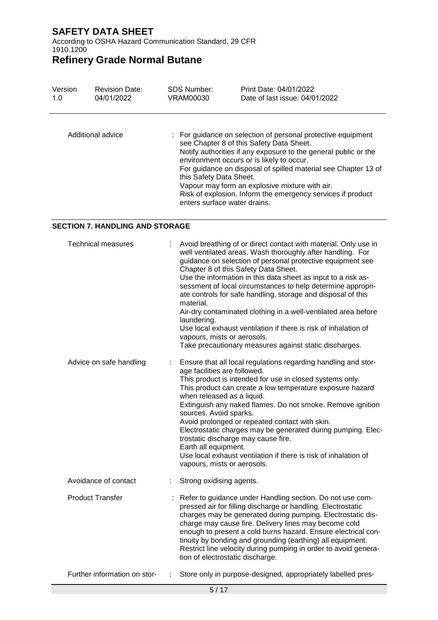According to OSHA Hazard Communication Standard, 29 CFR 1910.1200

# **Refinery Grade Normal Butane**

| Version | <b>Revision Date:</b> | <b>SDS Number:</b>                                      | Print Date: 04/01/2022                                                                                                                                                                                                                                                                                                                                                                                      |
|---------|-----------------------|---------------------------------------------------------|-------------------------------------------------------------------------------------------------------------------------------------------------------------------------------------------------------------------------------------------------------------------------------------------------------------------------------------------------------------------------------------------------------------|
| 1.0     | 04/01/2022            | VRAM00030                                               | Date of last issue: 04/01/2022                                                                                                                                                                                                                                                                                                                                                                              |
|         | Additional advice     | this Safety Data Sheet.<br>enters surface water drains. | : For guidance on selection of personal protective equipment<br>see Chapter 8 of this Safety Data Sheet.<br>Notify authorities if any exposure to the general public or the<br>environment occurs or is likely to occur.<br>For guidance on disposal of spilled material see Chapter 13 of<br>Vapour may form an explosive mixture with air.<br>Risk of explosion. Inform the emergency services if product |

#### **SECTION 7. HANDLING AND STORAGE**

| <b>Technical measures</b>    |    | Avoid breathing of or direct contact with material. Only use in<br>well ventilated areas. Wash thoroughly after handling. For<br>guidance on selection of personal protective equipment see<br>Chapter 8 of this Safety Data Sheet.<br>Use the information in this data sheet as input to a risk as-<br>sessment of local circumstances to help determine appropri-<br>ate controls for safe handling, storage and disposal of this<br>material.<br>Air-dry contaminated clothing in a well-ventilated area before<br>laundering.<br>Use local exhaust ventilation if there is risk of inhalation of<br>vapours, mists or aerosols.<br>Take precautionary measures against static discharges. |
|------------------------------|----|-----------------------------------------------------------------------------------------------------------------------------------------------------------------------------------------------------------------------------------------------------------------------------------------------------------------------------------------------------------------------------------------------------------------------------------------------------------------------------------------------------------------------------------------------------------------------------------------------------------------------------------------------------------------------------------------------|
| Advice on safe handling      | t. | Ensure that all local regulations regarding handling and stor-<br>age facilities are followed.<br>This product is intended for use in closed systems only.<br>This product can create a low temperature exposure hazard<br>when released as a liquid.<br>Extinguish any naked flames. Do not smoke. Remove ignition<br>sources. Avoid sparks.<br>Avoid prolonged or repeated contact with skin.<br>Electrostatic charges may be generated during pumping. Elec-<br>trostatic discharge may cause fire.<br>Earth all equipment.<br>Use local exhaust ventilation if there is risk of inhalation of<br>vapours, mists or aerosols.                                                              |
| Avoidance of contact         | ÷. | Strong oxidising agents.                                                                                                                                                                                                                                                                                                                                                                                                                                                                                                                                                                                                                                                                      |
| <b>Product Transfer</b>      |    | Refer to guidance under Handling section. Do not use com-<br>pressed air for filling discharge or handling. Electrostatic<br>charges may be generated during pumping. Electrostatic dis-<br>charge may cause fire. Delivery lines may become cold<br>enough to present a cold burns hazard. Ensure electrical con-<br>tinuity by bonding and grounding (earthing) all equipment.<br>Restrict line velocity during pumping in order to avoid genera-<br>tion of electrostatic discharge.                                                                                                                                                                                                       |
| Further information on stor- |    | Store only in purpose-designed, appropriately labelled pres-                                                                                                                                                                                                                                                                                                                                                                                                                                                                                                                                                                                                                                  |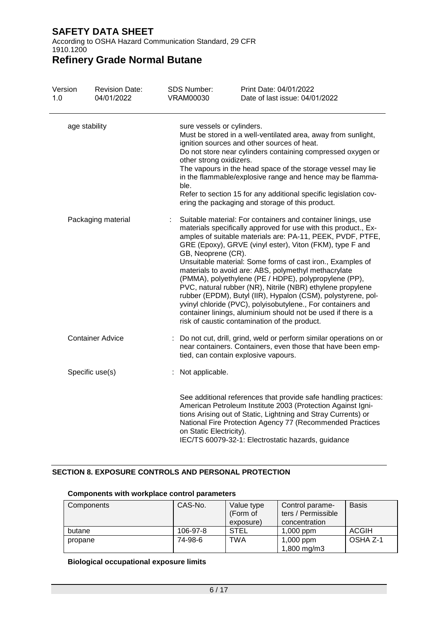According to OSHA Hazard Communication Standard, 29 CFR 1910.1200

# **Refinery Grade Normal Butane**

| Version<br>1.0 | <b>Revision Date:</b><br>04/01/2022 | <b>SDS Number:</b><br><b>VRAM00030</b>                        | Print Date: 04/01/2022<br>Date of last issue: 04/01/2022                                                                                                                                                                                                                                                                                                                                                                                                                                                                                                                                                                                                                                                                                                |
|----------------|-------------------------------------|---------------------------------------------------------------|---------------------------------------------------------------------------------------------------------------------------------------------------------------------------------------------------------------------------------------------------------------------------------------------------------------------------------------------------------------------------------------------------------------------------------------------------------------------------------------------------------------------------------------------------------------------------------------------------------------------------------------------------------------------------------------------------------------------------------------------------------|
|                | age stability                       | sure vessels or cylinders.<br>other strong oxidizers.<br>ble. | Must be stored in a well-ventilated area, away from sunlight,<br>ignition sources and other sources of heat.<br>Do not store near cylinders containing compressed oxygen or<br>The vapours in the head space of the storage vessel may lie<br>in the flammable/explosive range and hence may be flamma-<br>Refer to section 15 for any additional specific legislation cov-<br>ering the packaging and storage of this product.                                                                                                                                                                                                                                                                                                                         |
|                | Packaging material                  | GB, Neoprene (CR).                                            | Suitable material: For containers and container linings, use<br>materials specifically approved for use with this product., Ex-<br>amples of suitable materials are: PA-11, PEEK, PVDF, PTFE,<br>GRE (Epoxy), GRVE (vinyl ester), Viton (FKM), type F and<br>Unsuitable material: Some forms of cast iron., Examples of<br>materials to avoid are: ABS, polymethyl methacrylate<br>(PMMA), polyethylene (PE / HDPE), polypropylene (PP),<br>PVC, natural rubber (NR), Nitrile (NBR) ethylene propylene<br>rubber (EPDM), Butyl (IIR), Hypalon (CSM), polystyrene, pol-<br>yvinyl chloride (PVC), polyisobutylene., For containers and<br>container linings, aluminium should not be used if there is a<br>risk of caustic contamination of the product. |
|                | <b>Container Advice</b>             |                                                               | : Do not cut, drill, grind, weld or perform similar operations on or<br>near containers. Containers, even those that have been emp-<br>tied, can contain explosive vapours.                                                                                                                                                                                                                                                                                                                                                                                                                                                                                                                                                                             |
|                | Specific use(s)                     | : Not applicable.                                             |                                                                                                                                                                                                                                                                                                                                                                                                                                                                                                                                                                                                                                                                                                                                                         |
|                |                                     | on Static Electricity).                                       | See additional references that provide safe handling practices:<br>American Petroleum Institute 2003 (Protection Against Igni-<br>tions Arising out of Static, Lightning and Stray Currents) or<br>National Fire Protection Agency 77 (Recommended Practices<br>IEC/TS 60079-32-1: Electrostatic hazards, guidance                                                                                                                                                                                                                                                                                                                                                                                                                                      |

### **SECTION 8. EXPOSURE CONTROLS AND PERSONAL PROTECTION**

| Components | CAS-No.  | Value type  | Control parame-    | <b>Basis</b> |
|------------|----------|-------------|--------------------|--------------|
|            |          | (Form of    | ters / Permissible |              |
|            |          | exposure)   | concentration      |              |
| butane     | 106-97-8 | <b>STEL</b> | $1,000$ ppm        | <b>ACGIH</b> |
| propane    | 74-98-6  | TWA         | 1,000 ppm          | OSHA Z-1     |
|            |          |             | 1,800 mg/m3        |              |

#### **Components with workplace control parameters**

### **Biological occupational exposure limits**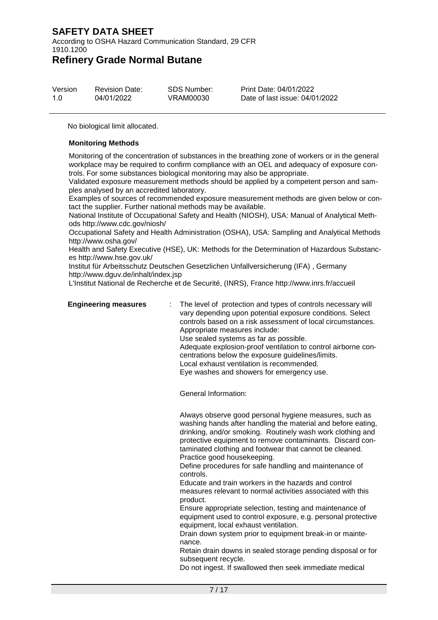According to OSHA Hazard Communication Standard, 29 CFR 1910.1200

### **Refinery Grade Normal Butane**

| Version | <b>Revision Date:</b> | SDS Number: | Print Date: 04/01/2022         |
|---------|-----------------------|-------------|--------------------------------|
| 1.0     | 04/01/2022            | VRAM00030   | Date of last issue: 04/01/2022 |

No biological limit allocated.

#### **Monitoring Methods**

Monitoring of the concentration of substances in the breathing zone of workers or in the general workplace may be required to confirm compliance with an OEL and adequacy of exposure controls. For some substances biological monitoring may also be appropriate.

Validated exposure measurement methods should be applied by a competent person and samples analysed by an accredited laboratory.

Examples of sources of recommended exposure measurement methods are given below or contact the supplier. Further national methods may be available.

National Institute of Occupational Safety and Health (NIOSH), USA: Manual of Analytical Methods http://www.cdc.gov/niosh/

Occupational Safety and Health Administration (OSHA), USA: Sampling and Analytical Methods http://www.osha.gov/

Health and Safety Executive (HSE), UK: Methods for the Determination of Hazardous Substances http://www.hse.gov.uk/

Institut für Arbeitsschutz Deutschen Gesetzlichen Unfallversicherung (IFA) , Germany http://www.dguv.de/inhalt/index.jsp

L'Institut National de Recherche et de Securité, (INRS), France http://www.inrs.fr/accueil

**Engineering measures** : The level of protection and types of controls necessary will vary depending upon potential exposure conditions. Select controls based on a risk assessment of local circumstances. Appropriate measures include: Use sealed systems as far as possible. Adequate explosion-proof ventilation to control airborne concentrations below the exposure guidelines/limits. Local exhaust ventilation is recommended. Eye washes and showers for emergency use.

General Information:

Always observe good personal hygiene measures, such as washing hands after handling the material and before eating, drinking, and/or smoking. Routinely wash work clothing and protective equipment to remove contaminants. Discard contaminated clothing and footwear that cannot be cleaned. Practice good housekeeping.

Define procedures for safe handling and maintenance of controls.

Educate and train workers in the hazards and control measures relevant to normal activities associated with this product.

Ensure appropriate selection, testing and maintenance of equipment used to control exposure, e.g. personal protective equipment, local exhaust ventilation.

Drain down system prior to equipment break-in or maintenance.

Retain drain downs in sealed storage pending disposal or for subsequent recycle.

Do not ingest. If swallowed then seek immediate medical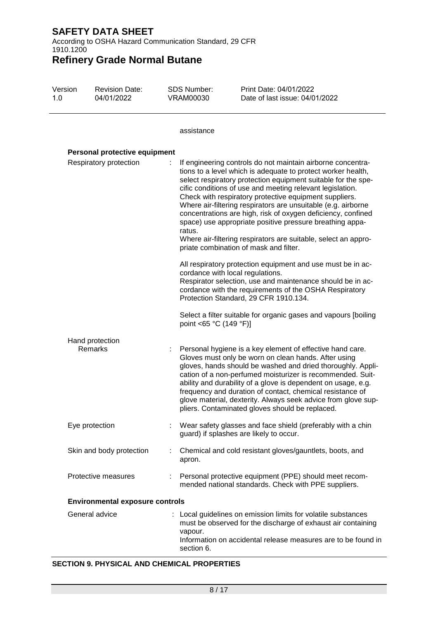According to OSHA Hazard Communication Standard, 29 CFR 1910.1200

# **Refinery Grade Normal Butane**

| Version<br>1.0 | <b>Revision Date:</b><br>04/01/2022 | <b>SDS Number:</b><br><b>VRAM00030</b> | Print Date: 04/01/2022<br>Date of last issue: 04/01/2022                                                                                                                                                                                                                                                                                                                                                                                                                                                                                                                                                                                                                                                                                                                                                                                                                                                                                                             |
|----------------|-------------------------------------|----------------------------------------|----------------------------------------------------------------------------------------------------------------------------------------------------------------------------------------------------------------------------------------------------------------------------------------------------------------------------------------------------------------------------------------------------------------------------------------------------------------------------------------------------------------------------------------------------------------------------------------------------------------------------------------------------------------------------------------------------------------------------------------------------------------------------------------------------------------------------------------------------------------------------------------------------------------------------------------------------------------------|
|                |                                     | assistance                             |                                                                                                                                                                                                                                                                                                                                                                                                                                                                                                                                                                                                                                                                                                                                                                                                                                                                                                                                                                      |
|                | Personal protective equipment       |                                        |                                                                                                                                                                                                                                                                                                                                                                                                                                                                                                                                                                                                                                                                                                                                                                                                                                                                                                                                                                      |
|                | Respiratory protection              | ratus.<br>point <65 °C (149 °F)]       | If engineering controls do not maintain airborne concentra-<br>tions to a level which is adequate to protect worker health,<br>select respiratory protection equipment suitable for the spe-<br>cific conditions of use and meeting relevant legislation.<br>Check with respiratory protective equipment suppliers.<br>Where air-filtering respirators are unsuitable (e.g. airborne<br>concentrations are high, risk of oxygen deficiency, confined<br>space) use appropriate positive pressure breathing appa-<br>Where air-filtering respirators are suitable, select an appro-<br>priate combination of mask and filter.<br>All respiratory protection equipment and use must be in ac-<br>cordance with local regulations.<br>Respirator selection, use and maintenance should be in ac-<br>cordance with the requirements of the OSHA Respiratory<br>Protection Standard, 29 CFR 1910.134.<br>Select a filter suitable for organic gases and vapours [boiling] |
|                | Hand protection<br>Remarks          |                                        | Personal hygiene is a key element of effective hand care.<br>Gloves must only be worn on clean hands. After using<br>gloves, hands should be washed and dried thoroughly. Appli-<br>cation of a non-perfumed moisturizer is recommended. Suit-<br>ability and durability of a glove is dependent on usage, e.g.<br>frequency and duration of contact, chemical resistance of<br>glove material, dexterity. Always seek advice from glove sup-<br>pliers. Contaminated gloves should be replaced.                                                                                                                                                                                                                                                                                                                                                                                                                                                                     |
|                | Eye protection                      |                                        | Wear safety glasses and face shield (preferably with a chin<br>guard) if splashes are likely to occur.                                                                                                                                                                                                                                                                                                                                                                                                                                                                                                                                                                                                                                                                                                                                                                                                                                                               |
|                | Skin and body protection            | apron.                                 | Chemical and cold resistant gloves/gauntlets, boots, and                                                                                                                                                                                                                                                                                                                                                                                                                                                                                                                                                                                                                                                                                                                                                                                                                                                                                                             |
|                | Protective measures                 |                                        | Personal protective equipment (PPE) should meet recom-                                                                                                                                                                                                                                                                                                                                                                                                                                                                                                                                                                                                                                                                                                                                                                                                                                                                                                               |

mended national standards. Check with PPE suppliers.

| <b>Environmental exposure controls</b> |  |                                                                                                                                                                                                                         |  |
|----------------------------------------|--|-------------------------------------------------------------------------------------------------------------------------------------------------------------------------------------------------------------------------|--|
| General advice                         |  | : Local guidelines on emission limits for volatile substances<br>must be observed for the discharge of exhaust air containing<br>vapour.<br>Information on accidental release measures are to be found in<br>section 6. |  |

#### **SECTION 9. PHYSICAL AND CHEMICAL PROPERTIES**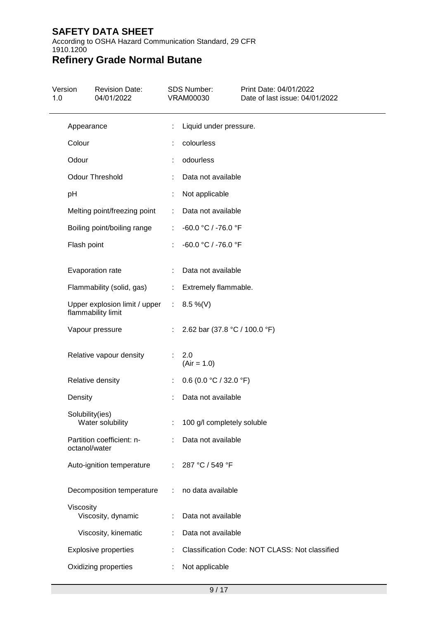According to OSHA Hazard Communication Standard, 29 CFR 1910.1200

# **Refinery Grade Normal Butane**

| 1.0 | Version         | <b>Revision Date:</b><br>04/01/2022                            |                | <b>SDS Number:</b><br><b>VRAM00030</b> | Print Date: 04/01/2022<br>Date of last issue: 04/01/2022 |
|-----|-----------------|----------------------------------------------------------------|----------------|----------------------------------------|----------------------------------------------------------|
|     | Appearance      |                                                                |                | Liquid under pressure.                 |                                                          |
|     | Colour          |                                                                |                | colourless                             |                                                          |
|     | Odour           |                                                                |                | odourless                              |                                                          |
|     |                 | <b>Odour Threshold</b>                                         |                | Data not available                     |                                                          |
|     | pH              |                                                                |                | Not applicable                         |                                                          |
|     |                 | Melting point/freezing point                                   | ÷              | Data not available                     |                                                          |
|     |                 | Boiling point/boiling range                                    | ÷              | -60.0 °C / -76.0 °F                    |                                                          |
|     | Flash point     |                                                                |                | -60.0 °C / -76.0 °F                    |                                                          |
|     |                 | Evaporation rate                                               |                | Data not available                     |                                                          |
|     |                 | Flammability (solid, gas)                                      | ÷.             | Extremely flammable.                   |                                                          |
|     |                 | Upper explosion limit / upper : 8.5 %(V)<br>flammability limit |                |                                        |                                                          |
|     |                 | Vapour pressure                                                | $\mathbb{R}^n$ | 2.62 bar (37.8 °C / 100.0 °F)          |                                                          |
|     |                 | Relative vapour density                                        |                | 2.0<br>$(Air = 1.0)$                   |                                                          |
|     |                 | Relative density                                               |                | $0.6$ (0.0 °C / 32.0 °F)               |                                                          |
|     | Density         |                                                                |                | Data not available                     |                                                          |
|     | Solubility(ies) | Water solubility                                               | ÷.             | 100 g/l completely soluble             |                                                          |
|     | octanol/water   | Partition coefficient: n-                                      |                | Data not available                     |                                                          |
|     |                 | Auto-ignition temperature                                      | ÷.             | 287 °C / 549 °F                        |                                                          |
|     |                 | Decomposition temperature                                      | ÷              | no data available                      |                                                          |
|     | Viscosity       | Viscosity, dynamic                                             |                | Data not available                     |                                                          |
|     |                 | Viscosity, kinematic                                           |                | Data not available                     |                                                          |
|     |                 | <b>Explosive properties</b>                                    |                |                                        | Classification Code: NOT CLASS: Not classified           |
|     |                 | Oxidizing properties                                           |                | Not applicable                         |                                                          |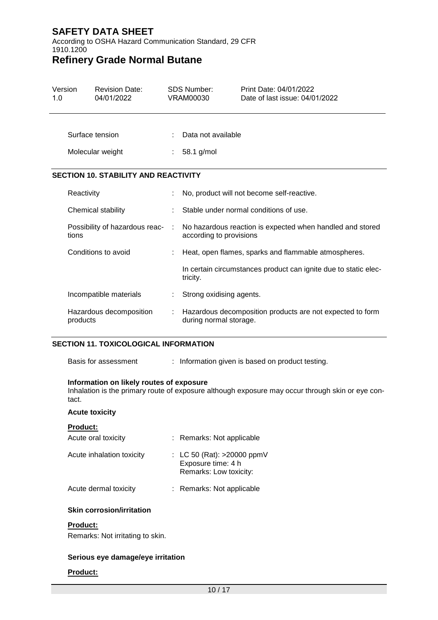According to OSHA Hazard Communication Standard, 29 CFR 1910.1200

## **Refinery Grade Normal Butane**

| Version<br>1.0 |            | <b>Revision Date:</b><br>04/01/2022         |                | <b>SDS Number:</b><br>VRAM00030                                                      | Print Date: 04/01/2022<br>Date of last issue: 04/01/2022        |  |  |
|----------------|------------|---------------------------------------------|----------------|--------------------------------------------------------------------------------------|-----------------------------------------------------------------|--|--|
|                |            | Surface tension                             |                | Data not available                                                                   |                                                                 |  |  |
|                |            | Molecular weight                            | $: 58.1$ g/mol |                                                                                      |                                                                 |  |  |
|                |            | <b>SECTION 10. STABILITY AND REACTIVITY</b> |                |                                                                                      |                                                                 |  |  |
|                | Reactivity |                                             |                |                                                                                      | No, product will not become self-reactive.                      |  |  |
|                |            | Chemical stability                          |                | Stable under normal conditions of use.                                               |                                                                 |  |  |
|                | tions      | Possibility of hazardous reac-              | ÷              | No hazardous reaction is expected when handled and stored<br>according to provisions |                                                                 |  |  |
|                |            | Conditions to avoid                         |                |                                                                                      | Heat, open flames, sparks and flammable atmospheres.            |  |  |
|                |            |                                             |                | tricity.                                                                             | In certain circumstances product can ignite due to static elec- |  |  |
|                |            | Incompatible materials                      |                | Strong oxidising agents.                                                             |                                                                 |  |  |
|                | products   | Hazardous decomposition                     |                | Hazardous decomposition products are not expected to form<br>during normal storage.  |                                                                 |  |  |

#### **SECTION 11. TOXICOLOGICAL INFORMATION**

#### **Information on likely routes of exposure**

Inhalation is the primary route of exposure although exposure may occur through skin or eye contact.

#### **Acute toxicity**

| <b>Product:</b><br>Acute oral toxicity | : Remarks: Not applicable                                                  |
|----------------------------------------|----------------------------------------------------------------------------|
| Acute inhalation toxicity              | : LC 50 (Rat): >20000 ppmV<br>Exposure time: 4 h<br>Remarks: Low toxicity: |
| Acute dermal toxicity                  | : Remarks: Not applicable                                                  |

#### **Skin corrosion/irritation**

#### **Product:**

Remarks: Not irritating to skin.

#### **Serious eye damage/eye irritation**

#### **Product:**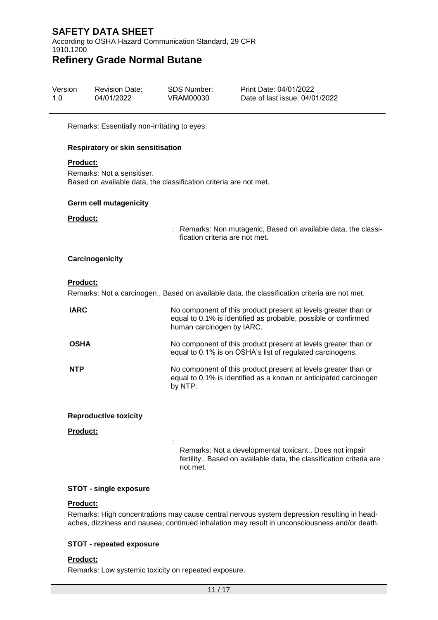According to OSHA Hazard Communication Standard, 29 CFR 1910.1200

### **Refinery Grade Normal Butane**

| Version | <b>Revision Date:</b> | SDS Number: | Print Date: 04/01/2022         |
|---------|-----------------------|-------------|--------------------------------|
| 1.0     | 04/01/2022            | VRAM00030   | Date of last issue: 04/01/2022 |

Remarks: Essentially non-irritating to eyes.

#### **Respiratory or skin sensitisation**

#### **Product:**

Remarks: Not a sensitiser. Based on available data, the classification criteria are not met.

#### **Germ cell mutagenicity**

#### **Product:**

: Remarks: Non mutagenic, Based on available data, the classification criteria are not met.

#### **Carcinogenicity**

#### **Product:**

Remarks: Not a carcinogen., Based on available data, the classification criteria are not met.

| <b>IARC</b> | No component of this product present at levels greater than or<br>equal to 0.1% is identified as probable, possible or confirmed<br>human carcinogen by IARC. |
|-------------|---------------------------------------------------------------------------------------------------------------------------------------------------------------|
| <b>OSHA</b> | No component of this product present at levels greater than or<br>equal to 0.1% is on OSHA's list of regulated carcinogens.                                   |
| <b>NTP</b>  | No component of this product present at levels greater than or<br>equal to 0.1% is identified as a known or anticipated carcinogen<br>by NTP.                 |

#### **Reproductive toxicity**

#### **Product:**

Remarks: Not a developmental toxicant., Does not impair fertility., Based on available data, the classification criteria are not met.

#### **STOT - single exposure**

#### **Product:**

Remarks: High concentrations may cause central nervous system depression resulting in headaches, dizziness and nausea; continued inhalation may result in unconsciousness and/or death.

#### **STOT - repeated exposure**

#### **Product:**

Remarks: Low systemic toxicity on repeated exposure.

: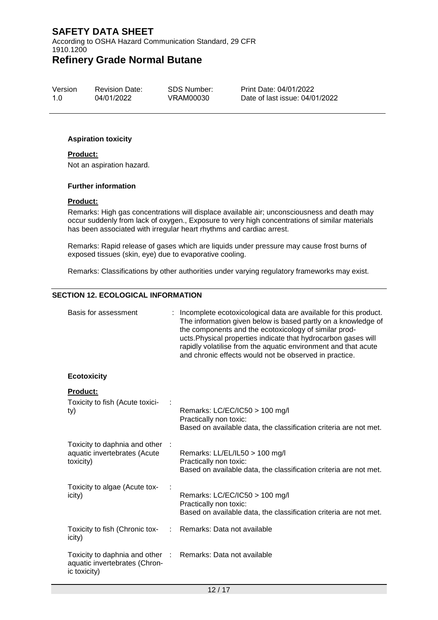According to OSHA Hazard Communication Standard, 29 CFR 1910.1200

# **Refinery Grade Normal Butane**

Version 1.0 Revision Date: 04/01/2022

SDS Number: VRAM00030

Print Date: 04/01/2022 Date of last issue: 04/01/2022

#### **Aspiration toxicity**

#### **Product:**

Not an aspiration hazard.

#### **Further information**

#### **Product:**

Remarks: High gas concentrations will displace available air; unconsciousness and death may occur suddenly from lack of oxygen., Exposure to very high concentrations of similar materials has been associated with irregular heart rhythms and cardiac arrest.

Remarks: Rapid release of gases which are liquids under pressure may cause frost burns of exposed tissues (skin, eye) due to evaporative cooling.

Remarks: Classifications by other authorities under varying regulatory frameworks may exist.

#### **SECTION 12. ECOLOGICAL INFORMATION**

| Basis for assessment                                                             | Incomplete ecotoxicological data are available for this product.<br>The information given below is based partly on a knowledge of<br>the components and the ecotoxicology of similar prod-<br>ucts. Physical properties indicate that hydrocarbon gases will<br>rapidly volatilise from the aquatic environment and that acute<br>and chronic effects would not be observed in practice. |  |
|----------------------------------------------------------------------------------|------------------------------------------------------------------------------------------------------------------------------------------------------------------------------------------------------------------------------------------------------------------------------------------------------------------------------------------------------------------------------------------|--|
| <b>Ecotoxicity</b>                                                               |                                                                                                                                                                                                                                                                                                                                                                                          |  |
| <b>Product:</b><br>Toxicity to fish (Acute toxici-<br>ty)                        | Remarks: LC/EC/IC50 > 100 mg/l<br>Practically non toxic:<br>Based on available data, the classification criteria are not met.                                                                                                                                                                                                                                                            |  |
| Toxicity to daphnia and other<br>aquatic invertebrates (Acute<br>toxicity)       | Remarks: LL/EL/IL50 > 100 mg/l<br>Practically non toxic:<br>Based on available data, the classification criteria are not met.                                                                                                                                                                                                                                                            |  |
| Toxicity to algae (Acute tox-<br>icity)                                          | Remarks: LC/EC/IC50 > 100 mg/l<br>Practically non toxic:<br>Based on available data, the classification criteria are not met.                                                                                                                                                                                                                                                            |  |
| Toxicity to fish (Chronic tox-<br>icity)                                         | Remarks: Data not available                                                                                                                                                                                                                                                                                                                                                              |  |
| Toxicity to daphnia and other :<br>aquatic invertebrates (Chron-<br>ic toxicity) | Remarks: Data not available                                                                                                                                                                                                                                                                                                                                                              |  |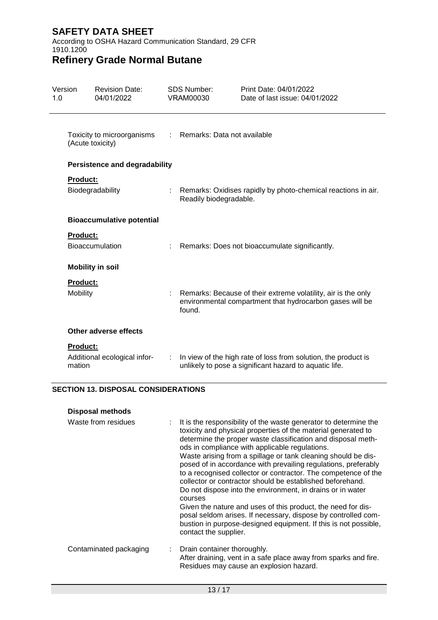According to OSHA Hazard Communication Standard, 29 CFR 1910.1200

# **Refinery Grade Normal Butane**

| Version<br>1.0 |                                                | <b>Revision Date:</b><br>04/01/2022  |                                                                                                                                       | <b>SDS Number:</b><br><b>VRAM00030</b>                          | Print Date: 04/01/2022<br>Date of last issue: 04/01/2022                                                                 |
|----------------|------------------------------------------------|--------------------------------------|---------------------------------------------------------------------------------------------------------------------------------------|-----------------------------------------------------------------|--------------------------------------------------------------------------------------------------------------------------|
|                | Toxicity to microorganisms<br>(Acute toxicity) |                                      |                                                                                                                                       | : Remarks: Data not available                                   |                                                                                                                          |
|                |                                                | <b>Persistence and degradability</b> |                                                                                                                                       |                                                                 |                                                                                                                          |
|                | <b>Product:</b><br>Biodegradability            |                                      | Readily biodegradable.                                                                                                                | : Remarks: Oxidises rapidly by photo-chemical reactions in air. |                                                                                                                          |
|                | <b>Bioaccumulative potential</b>               |                                      |                                                                                                                                       |                                                                 |                                                                                                                          |
|                | <b>Product:</b><br><b>Bioaccumulation</b>      |                                      |                                                                                                                                       | : Remarks: Does not bioaccumulate significantly.                |                                                                                                                          |
|                |                                                | <b>Mobility in soil</b>              |                                                                                                                                       |                                                                 |                                                                                                                          |
|                | <b>Product:</b><br>Mobility                    |                                      | : Remarks: Because of their extreme volatility, air is the only<br>environmental compartment that hydrocarbon gases will be<br>found. |                                                                 |                                                                                                                          |
|                |                                                | Other adverse effects                |                                                                                                                                       |                                                                 |                                                                                                                          |
|                | <b>Product:</b><br>mation                      | Additional ecological infor-         | ÷                                                                                                                                     |                                                                 | In view of the high rate of loss from solution, the product is<br>unlikely to pose a significant hazard to aquatic life. |

### **SECTION 13. DISPOSAL CONSIDERATIONS**

| <b>Disposal methods</b> |                                                                                                                                                                                                                                                                                                                                                                                                                                                                                                                                                                                                                                                                                                                                                                                                                                  |
|-------------------------|----------------------------------------------------------------------------------------------------------------------------------------------------------------------------------------------------------------------------------------------------------------------------------------------------------------------------------------------------------------------------------------------------------------------------------------------------------------------------------------------------------------------------------------------------------------------------------------------------------------------------------------------------------------------------------------------------------------------------------------------------------------------------------------------------------------------------------|
| Waste from residues     | It is the responsibility of the waste generator to determine the<br>÷<br>toxicity and physical properties of the material generated to<br>determine the proper waste classification and disposal meth-<br>ods in compliance with applicable regulations.<br>Waste arising from a spillage or tank cleaning should be dis-<br>posed of in accordance with prevailing regulations, preferably<br>to a recognised collector or contractor. The competence of the<br>collector or contractor should be established beforehand.<br>Do not dispose into the environment, in drains or in water<br>courses<br>Given the nature and uses of this product, the need for dis-<br>posal seldom arises. If necessary, dispose by controlled com-<br>bustion in purpose-designed equipment. If this is not possible,<br>contact the supplier. |
| Contaminated packaging  | Drain container thoroughly.<br>÷<br>After draining, vent in a safe place away from sparks and fire.<br>Residues may cause an explosion hazard.                                                                                                                                                                                                                                                                                                                                                                                                                                                                                                                                                                                                                                                                                   |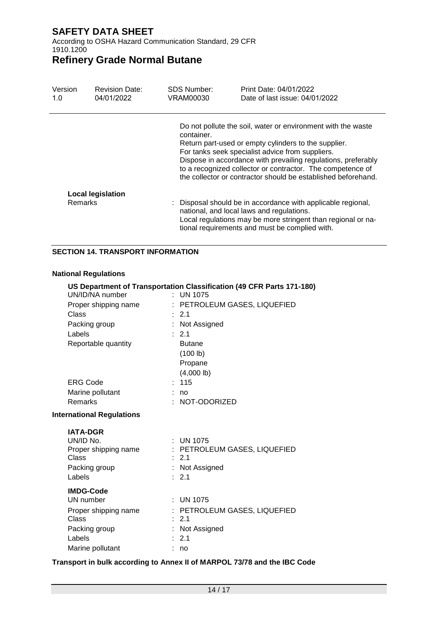According to OSHA Hazard Communication Standard, 29 CFR 1910.1200

# **Refinery Grade Normal Butane**

| Version<br>1.0 | <b>Revision Date:</b><br>04/01/2022 | <b>SDS Number:</b><br>VRAM00030 | Print Date: 04/01/2022<br>Date of last issue: 04/01/2022                                                                                                                                                                                                                                                                                                                 |
|----------------|-------------------------------------|---------------------------------|--------------------------------------------------------------------------------------------------------------------------------------------------------------------------------------------------------------------------------------------------------------------------------------------------------------------------------------------------------------------------|
|                |                                     | container.                      | Do not pollute the soil, water or environment with the waste<br>Return part-used or empty cylinders to the supplier.<br>For tanks seek specialist advice from suppliers.<br>Dispose in accordance with prevailing regulations, preferably<br>to a recognized collector or contractor. The competence of<br>the collector or contractor should be established beforehand. |
| <b>Remarks</b> | <b>Local legislation</b>            |                                 | : Disposal should be in accordance with applicable regional,<br>national, and local laws and regulations.<br>Local regulations may be more stringent than regional or na-<br>tional requirements and must be complied with.                                                                                                                                              |

#### **SECTION 14. TRANSPORT INFORMATION**

#### **National Regulations**

| UN/ID/NA number                  |            | US Department of Transportation Classification (49 CFR Parts 171-180)<br>: UN 1075 |
|----------------------------------|------------|------------------------------------------------------------------------------------|
| Proper shipping name             |            | : PETROLEUM GASES, LIQUEFIED                                                       |
| Class                            |            | $\div$ 2.1                                                                         |
|                                  |            |                                                                                    |
| Packing group                    |            | Not Assigned                                                                       |
| Labels                           |            | : 2.1                                                                              |
| Reportable quantity              |            | <b>Butane</b>                                                                      |
|                                  |            | (100 lb)                                                                           |
|                                  |            | Propane                                                                            |
|                                  |            | $(4,000$ lb)                                                                       |
| <b>ERG Code</b>                  |            | 115                                                                                |
| Marine pollutant                 |            | no                                                                                 |
| <b>Remarks</b>                   | $\epsilon$ | NOT-ODORIZED                                                                       |
| <b>International Regulations</b> |            |                                                                                    |
| <b>IATA-DGR</b>                  |            |                                                                                    |
| UN/ID No.                        |            | : UN 1075                                                                          |
| Proper shipping name             |            | : PETROLEUM GASES, LIQUEFIED                                                       |
| Class                            |            | 2.1                                                                                |
| Packing group                    |            | : Not Assigned                                                                     |
| Labels                           |            | : 2.1                                                                              |
| <b>IMDG-Code</b>                 |            |                                                                                    |
| UN number                        |            | $:$ UN 1075                                                                        |
| Proper shipping name             |            | : PETROLEUM GASES, LIQUEFIED                                                       |
| Class                            | $\epsilon$ | 2.1                                                                                |
| Packing group                    |            | Not Assigned                                                                       |
| Labels                           |            | 2.1                                                                                |
| Marine pollutant                 |            | no                                                                                 |

#### **Transport in bulk according to Annex II of MARPOL 73/78 and the IBC Code**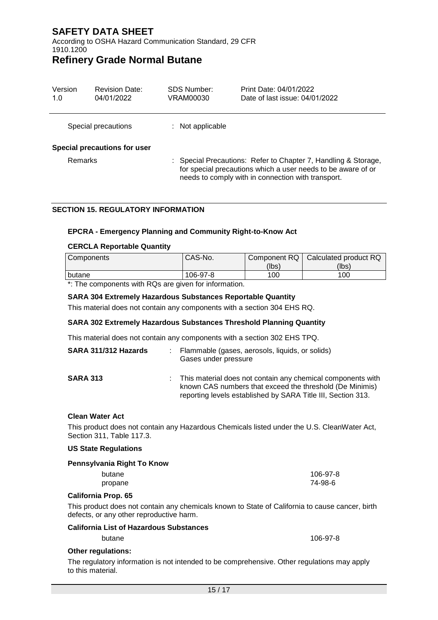According to OSHA Hazard Communication Standard, 29 CFR 1910.1200

### **Refinery Grade Normal Butane**

| Version<br>1.0 | <b>Revision Date:</b><br>04/01/2022 | SDS Number:<br>VRAM00030 | Print Date: 04/01/2022<br>Date of last issue: 04/01/2022                                                                                                                             |
|----------------|-------------------------------------|--------------------------|--------------------------------------------------------------------------------------------------------------------------------------------------------------------------------------|
|                | Special precautions                 | $:$ Not applicable       |                                                                                                                                                                                      |
| Remarks        | Special precautions for user        |                          | : Special Precautions: Refer to Chapter 7, Handling & Storage,<br>for special precautions which a user needs to be aware of or<br>needs to comply with in connection with transport. |

#### **SECTION 15. REGULATORY INFORMATION**

#### **EPCRA - Emergency Planning and Community Right-to-Know Act**

#### **CERCLA Reportable Quantity**

| <b>Components</b>                                                         | CAS-No.  |       | Component RQ   Calculated product RQ |
|---------------------------------------------------------------------------|----------|-------|--------------------------------------|
|                                                                           |          | (lbs) | (lbs)                                |
| l butane                                                                  | 106-97-8 | 100   | 100                                  |
| $\star$ . This is a completent to the DOs is a contract from the constant |          |       |                                      |

\*: The components with RQs are given for information.

#### **SARA 304 Extremely Hazardous Substances Reportable Quantity**

This material does not contain any components with a section 304 EHS RQ.

#### **SARA 302 Extremely Hazardous Substances Threshold Planning Quantity**

This material does not contain any components with a section 302 EHS TPQ.

| SARA 311/312 Hazards | : Flammable (gases, aerosols, liquids, or solids)<br>Gases under pressure                                                                                                               |
|----------------------|-----------------------------------------------------------------------------------------------------------------------------------------------------------------------------------------|
| <b>SARA 313</b>      | This material does not contain any chemical components with<br>known CAS numbers that exceed the threshold (De Minimis)<br>reporting levels established by SARA Title III, Section 313. |

#### **Clean Water Act**

This product does not contain any Hazardous Chemicals listed under the U.S. CleanWater Act, Section 311, Table 117.3.

#### **US State Regulations**

#### **Pennsylvania Right To Know**

| butane  | 106-97-8 |
|---------|----------|
| propane | 74-98-6  |

#### **California Prop. 65**

This product does not contain any chemicals known to State of California to cause cancer, birth defects, or any other reproductive harm.

#### **California List of Hazardous Substances**

butane 106-97-8

#### **Other regulations:**

The regulatory information is not intended to be comprehensive. Other regulations may apply to this material.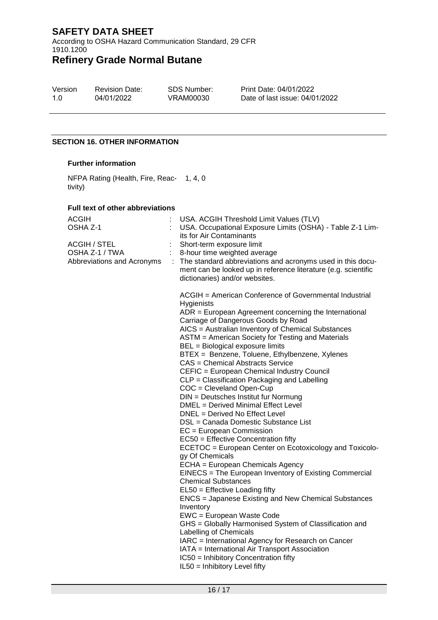According to OSHA Hazard Communication Standard, 29 CFR 1910.1200

# **Refinery Grade Normal Butane**

| Version | <b>Revision Date:</b> |
|---------|-----------------------|
| 1.0     | 04/01/2022            |

SDS Number: VRAM00030

Print Date: 04/01/2022 Date of last issue: 04/01/2022

#### **SECTION 16. OTHER INFORMATION**

#### **Further information**

NFPA Rating (Health, Fire, Reac-1, 4, 0 tivity)

#### **Full text of other abbreviations**

| ACGIH<br>OSHA Z-1<br>ACGIH / STEL<br>OSHA Z-1 / TWA<br>Abbreviations and Acronyms | USA. ACGIH Threshold Limit Values (TLV)<br>USA. Occupational Exposure Limits (OSHA) - Table Z-1 Lim-<br>its for Air Contaminants<br>Short-term exposure limit<br>8-hour time weighted average<br>: The standard abbreviations and acronyms used in this docu-<br>ment can be looked up in reference literature (e.g. scientific<br>dictionaries) and/or websites.                                                                                                                                                                                                                                                                                                                                                                                                                                                                                                                                                                                                                                                                                                                                                                                                                                                                                                                                                                                                                        |
|-----------------------------------------------------------------------------------|------------------------------------------------------------------------------------------------------------------------------------------------------------------------------------------------------------------------------------------------------------------------------------------------------------------------------------------------------------------------------------------------------------------------------------------------------------------------------------------------------------------------------------------------------------------------------------------------------------------------------------------------------------------------------------------------------------------------------------------------------------------------------------------------------------------------------------------------------------------------------------------------------------------------------------------------------------------------------------------------------------------------------------------------------------------------------------------------------------------------------------------------------------------------------------------------------------------------------------------------------------------------------------------------------------------------------------------------------------------------------------------|
|                                                                                   | ACGIH = American Conference of Governmental Industrial<br>Hygienists<br>$ADR = European Agreement concerning the International$<br>Carriage of Dangerous Goods by Road<br>AICS = Australian Inventory of Chemical Substances<br>ASTM = American Society for Testing and Materials<br>BEL = Biological exposure limits<br>BTEX = Benzene, Toluene, Ethylbenzene, Xylenes<br>CAS = Chemical Abstracts Service<br>CEFIC = European Chemical Industry Council<br>CLP = Classification Packaging and Labelling<br>COC = Cleveland Open-Cup<br>DIN = Deutsches Institut fur Normung<br>DMEL = Derived Minimal Effect Level<br>DNEL = Derived No Effect Level<br>DSL = Canada Domestic Substance List<br>$EC = European Commission$<br>EC50 = Effective Concentration fifty<br>ECETOC = European Center on Ecotoxicology and Toxicolo-<br>gy Of Chemicals<br>ECHA = European Chemicals Agency<br>EINECS = The European Inventory of Existing Commercial<br><b>Chemical Substances</b><br>EL50 = Effective Loading fifty<br>ENCS = Japanese Existing and New Chemical Substances<br>Inventory<br>EWC = European Waste Code<br>GHS = Globally Harmonised System of Classification and<br>Labelling of Chemicals<br>IARC = International Agency for Research on Cancer<br>IATA = International Air Transport Association<br>IC50 = Inhibitory Concentration fifty<br>IL50 = Inhibitory Level fifty |